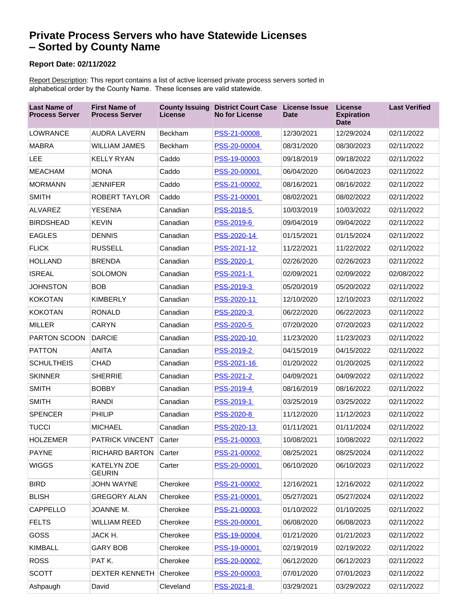## **Private Process Servers who have Statewide Licenses – Sorted by County Name**

## **Report Date: 02/11/2022**

Report Description: This report contains a list of active licensed private process servers sorted in alphabetical order by the County Name. These licenses are valid statewide.

| <b>Last Name of</b><br><b>Process Server</b> | <b>First Name of</b><br><b>Process Server</b> | License   | <b>County Issuing District Court Case</b><br><b>No for License</b> | <b>License Issue</b><br><b>Date</b> | <b>License</b><br><b>Expiration</b><br><b>Date</b> | <b>Last Verified</b> |
|----------------------------------------------|-----------------------------------------------|-----------|--------------------------------------------------------------------|-------------------------------------|----------------------------------------------------|----------------------|
| LOWRANCE                                     | <b>AUDRA LAVERN</b>                           | Beckham   | PSS-21-00008                                                       | 12/30/2021                          | 12/29/2024                                         | 02/11/2022           |
| <b>MABRA</b>                                 | <b>WILLIAM JAMES</b>                          | Beckham   | PSS-20-00004                                                       | 08/31/2020                          | 08/30/2023                                         | 02/11/2022           |
| <b>LEE</b>                                   | <b>KELLY RYAN</b>                             | Caddo     | PSS-19-00003                                                       | 09/18/2019                          | 09/18/2022                                         | 02/11/2022           |
| <b>MEACHAM</b>                               | <b>MONA</b>                                   | Caddo     | PSS-20-00001                                                       | 06/04/2020                          | 06/04/2023                                         | 02/11/2022           |
| <b>MORMANN</b>                               | <b>JENNIFER</b>                               | Caddo     | PSS-21-00002                                                       | 08/16/2021                          | 08/16/2022                                         | 02/11/2022           |
| <b>SMITH</b>                                 | <b>ROBERT TAYLOR</b>                          | Caddo     | PSS-21-00001                                                       | 08/02/2021                          | 08/02/2022                                         | 02/11/2022           |
| <b>ALVAREZ</b>                               | <b>YESENIA</b>                                | Canadian  | PSS-2018-5                                                         | 10/03/2019                          | 10/03/2022                                         | 02/11/2022           |
| <b>BIRDSHEAD</b>                             | <b>KEVIN</b>                                  | Canadian  | PSS-2019-6                                                         | 09/04/2019                          | 09/04/2022                                         | 02/11/2022           |
| <b>EAGLES</b>                                | <b>DENNIS</b>                                 | Canadian  | PSS-2020-14                                                        | 01/15/2021                          | 01/15/2024                                         | 02/11/2022           |
| <b>FLICK</b>                                 | <b>RUSSELL</b>                                | Canadian  | PSS-2021-12                                                        | 11/22/2021                          | 11/22/2022                                         | 02/11/2022           |
| <b>HOLLAND</b>                               | <b>BRENDA</b>                                 | Canadian  | PSS-2020-1                                                         | 02/26/2020                          | 02/26/2023                                         | 02/11/2022           |
| <b>ISREAL</b>                                | <b>SOLOMON</b>                                | Canadian  | PSS-2021-1                                                         | 02/09/2021                          | 02/09/2022                                         | 02/08/2022           |
| <b>JOHNSTON</b>                              | <b>BOB</b>                                    | Canadian  | PSS-2019-3                                                         | 05/20/2019                          | 05/20/2022                                         | 02/11/2022           |
| <b>KOKOTAN</b>                               | <b>KIMBERLY</b>                               | Canadian  | PSS-2020-11                                                        | 12/10/2020                          | 12/10/2023                                         | 02/11/2022           |
| <b>KOKOTAN</b>                               | <b>RONALD</b>                                 | Canadian  | PSS-2020-3                                                         | 06/22/2020                          | 06/22/2023                                         | 02/11/2022           |
| <b>MILLER</b>                                | <b>CARYN</b>                                  | Canadian  | <b>PSS-2020-5</b>                                                  | 07/20/2020                          | 07/20/2023                                         | 02/11/2022           |
| PARTON SCOON                                 | <b>DARCIE</b>                                 | Canadian  | PSS-2020-10                                                        | 11/23/2020                          | 11/23/2023                                         | 02/11/2022           |
| <b>PATTON</b>                                | <b>ANITA</b>                                  | Canadian  | PSS-2019-2                                                         | 04/15/2019                          | 04/15/2022                                         | 02/11/2022           |
| <b>SCHULTHEIS</b>                            | <b>CHAD</b>                                   | Canadian  | PSS-2021-16                                                        | 01/20/2022                          | 01/20/2025                                         | 02/11/2022           |
| <b>SKINNER</b>                               | <b>SHERRIE</b>                                | Canadian  | PSS-2021-2                                                         | 04/09/2021                          | 04/09/2022                                         | 02/11/2022           |
| <b>SMITH</b>                                 | <b>BOBBY</b>                                  | Canadian  | PSS-2019-4                                                         | 08/16/2019                          | 08/16/2022                                         | 02/11/2022           |
| <b>SMITH</b>                                 | RANDI                                         | Canadian  | PSS-2019-1                                                         | 03/25/2019                          | 03/25/2022                                         | 02/11/2022           |
| <b>SPENCER</b>                               | PHILIP                                        | Canadian  | PSS-2020-8                                                         | 11/12/2020                          | 11/12/2023                                         | 02/11/2022           |
| <b>TUCCI</b>                                 | <b>MICHAEL</b>                                | Canadian  | PSS-2020-13                                                        | 01/11/2021                          | 01/11/2024                                         | 02/11/2022           |
| <b>HOLZEMER</b>                              | <b>PATRICK VINCENT</b>                        | Carter    | PSS-21-00003                                                       | 10/08/2021                          | 10/08/2022                                         | 02/11/2022           |
| <b>PAYNE</b>                                 | RICHARD BARTON                                | Carter    | PSS-21-00002                                                       | 08/25/2021                          | 08/25/2024                                         | 02/11/2022           |
| <b>WIGGS</b>                                 | KATELYN ZOE<br><b>GEURIN</b>                  | Carter    | PSS-20-00001                                                       | 06/10/2020                          | 06/10/2023                                         | 02/11/2022           |
| <b>BIRD</b>                                  | <b>JOHN WAYNE</b>                             | Cherokee  | PSS-21-00002                                                       | 12/16/2021                          | 12/16/2022                                         | 02/11/2022           |
| <b>BLISH</b>                                 | <b>GREGORY ALAN</b>                           | Cherokee  | PSS-21-00001                                                       | 05/27/2021                          | 05/27/2024                                         | 02/11/2022           |
| CAPPELLO                                     | JOANNE M.                                     | Cherokee  | PSS-21-00003                                                       | 01/10/2022                          | 01/10/2025                                         | 02/11/2022           |
| <b>FELTS</b>                                 | <b>WILLIAM REED</b>                           | Cherokee  | PSS-20-00001                                                       | 06/08/2020                          | 06/08/2023                                         | 02/11/2022           |
| GOSS                                         | JACK H.                                       | Cherokee  | PSS-19-00004                                                       | 01/21/2020                          | 01/21/2023                                         | 02/11/2022           |
| <b>KIMBALL</b>                               | <b>GARY BOB</b>                               | Cherokee  | PSS-19-00001                                                       | 02/19/2019                          | 02/19/2022                                         | 02/11/2022           |
| <b>ROSS</b>                                  | PATK.                                         | Cherokee  | PSS-20-00002                                                       | 06/12/2020                          | 06/12/2023                                         | 02/11/2022           |
| <b>SCOTT</b>                                 | <b>DEXTER KENNETH</b>                         | Cherokee  | PSS-20-00003                                                       | 07/01/2020                          | 07/01/2023                                         | 02/11/2022           |
| Ashpaugh                                     | David                                         | Cleveland | PSS-2021-8                                                         | 03/29/2021                          | 03/29/2022                                         | 02/11/2022           |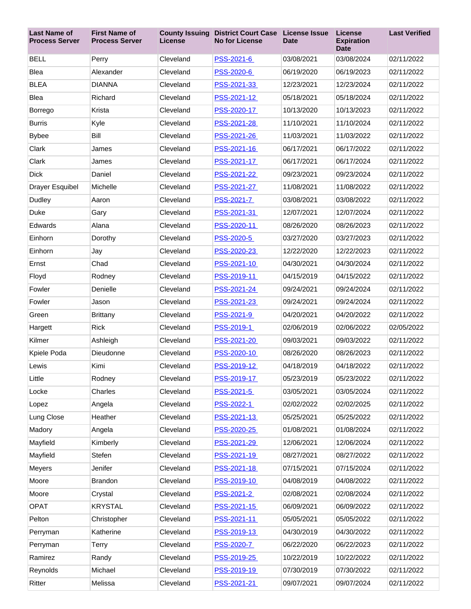| <b>Last Name of</b><br><b>Process Server</b> | <b>First Name of</b><br><b>Process Server</b> | <b>County Issuing</b><br>License | <b>District Court Case</b><br><b>No for License</b> | License Issue<br><b>Date</b> | <b>License</b><br><b>Expiration</b><br><b>Date</b> | <b>Last Verified</b> |
|----------------------------------------------|-----------------------------------------------|----------------------------------|-----------------------------------------------------|------------------------------|----------------------------------------------------|----------------------|
| <b>BELL</b>                                  | Perry                                         | Cleveland                        | PSS-2021-6                                          | 03/08/2021                   | 03/08/2024                                         | 02/11/2022           |
| Blea                                         | Alexander                                     | Cleveland                        | PSS-2020-6                                          | 06/19/2020                   | 06/19/2023                                         | 02/11/2022           |
| <b>BLEA</b>                                  | <b>DIANNA</b>                                 | Cleveland                        | PSS-2021-33                                         | 12/23/2021                   | 12/23/2024                                         | 02/11/2022           |
| <b>Blea</b>                                  | Richard                                       | Cleveland                        | PSS-2021-12                                         | 05/18/2021                   | 05/18/2024                                         | 02/11/2022           |
| Borrego                                      | Krista                                        | Cleveland                        | PSS-2020-17                                         | 10/13/2020                   | 10/13/2023                                         | 02/11/2022           |
| Burris                                       | Kyle                                          | Cleveland                        | PSS-2021-28                                         | 11/10/2021                   | 11/10/2024                                         | 02/11/2022           |
| <b>Bybee</b>                                 | Bill                                          | Cleveland                        | PSS-2021-26                                         | 11/03/2021                   | 11/03/2022                                         | 02/11/2022           |
| Clark                                        | James                                         | Cleveland                        | PSS-2021-16                                         | 06/17/2021                   | 06/17/2022                                         | 02/11/2022           |
| Clark                                        | James                                         | Cleveland                        | PSS-2021-17                                         | 06/17/2021                   | 06/17/2024                                         | 02/11/2022           |
| <b>Dick</b>                                  | Daniel                                        | Cleveland                        | PSS-2021-22                                         | 09/23/2021                   | 09/23/2024                                         | 02/11/2022           |
| Drayer Esquibel                              | Michelle                                      | Cleveland                        | PSS-2021-27                                         | 11/08/2021                   | 11/08/2022                                         | 02/11/2022           |
| Dudley                                       | Aaron                                         | Cleveland                        | PSS-2021-7                                          | 03/08/2021                   | 03/08/2022                                         | 02/11/2022           |
| Duke                                         | Gary                                          | Cleveland                        | PSS-2021-31                                         | 12/07/2021                   | 12/07/2024                                         | 02/11/2022           |
| Edwards                                      | Alana                                         | Cleveland                        | PSS-2020-11                                         | 08/26/2020                   | 08/26/2023                                         | 02/11/2022           |
| Einhorn                                      | Dorothy                                       | Cleveland                        | PSS-2020-5                                          | 03/27/2020                   | 03/27/2023                                         | 02/11/2022           |
| Einhorn                                      | Jay                                           | Cleveland                        | PSS-2020-23                                         | 12/22/2020                   | 12/22/2023                                         | 02/11/2022           |
| Ernst                                        | Chad                                          | Cleveland                        | PSS-2021-10                                         | 04/30/2021                   | 04/30/2024                                         | 02/11/2022           |
| Floyd                                        | Rodney                                        | Cleveland                        | PSS-2019-11                                         | 04/15/2019                   | 04/15/2022                                         | 02/11/2022           |
| Fowler                                       | Denielle                                      | Cleveland                        | PSS-2021-24                                         | 09/24/2021                   | 09/24/2024                                         | 02/11/2022           |
| Fowler                                       | Jason                                         | Cleveland                        | PSS-2021-23                                         | 09/24/2021                   | 09/24/2024                                         | 02/11/2022           |
| Green                                        | Brittany                                      | Cleveland                        | PSS-2021-9                                          | 04/20/2021                   | 04/20/2022                                         | 02/11/2022           |
| Hargett                                      | <b>Rick</b>                                   | Cleveland                        | PSS-2019-1                                          | 02/06/2019                   | 02/06/2022                                         | 02/05/2022           |
| Kilmer                                       | Ashleigh                                      | Cleveland                        | PSS-2021-20                                         | 09/03/2021                   | 09/03/2022                                         | 02/11/2022           |
| Kpiele Poda                                  | Dieudonne                                     | Cleveland                        | PSS-2020-10                                         | 08/26/2020                   | 08/26/2023                                         | 02/11/2022           |
| Lewis                                        | Kimi                                          | Cleveland                        | PSS-2019-12                                         | 04/18/2019                   | 04/18/2022                                         | 02/11/2022           |
| Little                                       | Rodney                                        | Cleveland                        | PSS-2019-17                                         | 05/23/2019                   | 05/23/2022                                         | 02/11/2022           |
| Locke                                        | Charles                                       | Cleveland                        | PSS-2021-5                                          | 03/05/2021                   | 03/05/2024                                         | 02/11/2022           |
| Lopez                                        | Angela                                        | Cleveland                        | PSS-2022-1                                          | 02/02/2022                   | 02/02/2025                                         | 02/11/2022           |
| Lung Close                                   | Heather                                       | Cleveland                        | PSS-2021-13                                         | 05/25/2021                   | 05/25/2022                                         | 02/11/2022           |
| Madory                                       | Angela                                        | Cleveland                        | PSS-2020-25                                         | 01/08/2021                   | 01/08/2024                                         | 02/11/2022           |
| Mayfield                                     | Kimberly                                      | Cleveland                        | PSS-2021-29                                         | 12/06/2021                   | 12/06/2024                                         | 02/11/2022           |
| Mayfield                                     | Stefen                                        | Cleveland                        | PSS-2021-19                                         | 08/27/2021                   | 08/27/2022                                         | 02/11/2022           |
| Meyers                                       | Jenifer                                       | Cleveland                        | PSS-2021-18                                         | 07/15/2021                   | 07/15/2024                                         | 02/11/2022           |
| Moore                                        | <b>Brandon</b>                                | Cleveland                        | PSS-2019-10                                         | 04/08/2019                   | 04/08/2022                                         | 02/11/2022           |
| Moore                                        | Crystal                                       | Cleveland                        | PSS-2021-2                                          | 02/08/2021                   | 02/08/2024                                         | 02/11/2022           |
| <b>OPAT</b>                                  | <b>KRYSTAL</b>                                | Cleveland                        | PSS-2021-15                                         | 06/09/2021                   | 06/09/2022                                         | 02/11/2022           |
| Pelton                                       | Christopher                                   | Cleveland                        | PSS-2021-11                                         | 05/05/2021                   | 05/05/2022                                         | 02/11/2022           |
| Perryman                                     | Katherine                                     | Cleveland                        | PSS-2019-13                                         | 04/30/2019                   | 04/30/2022                                         | 02/11/2022           |
| Perryman                                     | Terry                                         | Cleveland                        | PSS-2020-7                                          | 06/22/2020                   | 06/22/2023                                         | 02/11/2022           |
| Ramirez                                      | Randy                                         | Cleveland                        | PSS-2019-25                                         | 10/22/2019                   | 10/22/2022                                         | 02/11/2022           |
| Reynolds                                     | Michael                                       | Cleveland                        | PSS-2019-19                                         | 07/30/2019                   | 07/30/2022                                         | 02/11/2022           |
| Ritter                                       | Melissa                                       | Cleveland                        | PSS-2021-21                                         | 09/07/2021                   | 09/07/2024                                         | 02/11/2022           |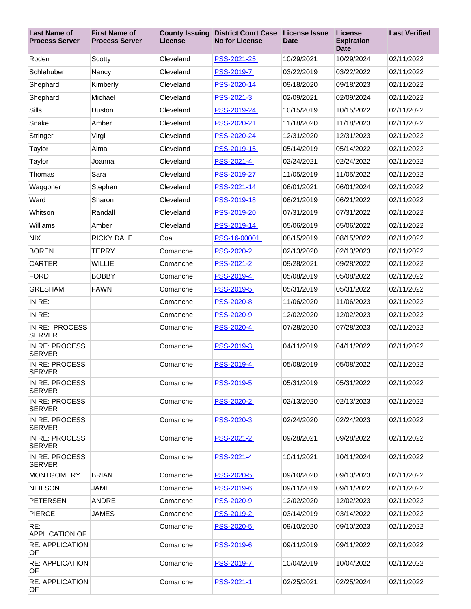| <b>Last Name of</b><br><b>Process Server</b> | <b>First Name of</b><br><b>Process Server</b> | License   | <b>County Issuing District Court Case</b><br><b>No for License</b> | <b>License Issue</b><br><b>Date</b> | License<br><b>Expiration</b><br><b>Date</b> | <b>Last Verified</b> |
|----------------------------------------------|-----------------------------------------------|-----------|--------------------------------------------------------------------|-------------------------------------|---------------------------------------------|----------------------|
| Roden                                        | Scotty                                        | Cleveland | PSS-2021-25                                                        | 10/29/2021                          | 10/29/2024                                  | 02/11/2022           |
| Schlehuber                                   | Nancy                                         | Cleveland | PSS-2019-7                                                         | 03/22/2019                          | 03/22/2022                                  | 02/11/2022           |
| Shephard                                     | Kimberly                                      | Cleveland | PSS-2020-14                                                        | 09/18/2020                          | 09/18/2023                                  | 02/11/2022           |
| Shephard                                     | Michael                                       | Cleveland | PSS-2021-3                                                         | 02/09/2021                          | 02/09/2024                                  | 02/11/2022           |
| Sills                                        | Duston                                        | Cleveland | PSS-2019-24                                                        | 10/15/2019                          | 10/15/2022                                  | 02/11/2022           |
| Snake                                        | Amber                                         | Cleveland | PSS-2020-21                                                        | 11/18/2020                          | 11/18/2023                                  | 02/11/2022           |
| Stringer                                     | Virgil                                        | Cleveland | PSS-2020-24                                                        | 12/31/2020                          | 12/31/2023                                  | 02/11/2022           |
| Taylor                                       | Alma                                          | Cleveland | PSS-2019-15                                                        | 05/14/2019                          | 05/14/2022                                  | 02/11/2022           |
| Taylor                                       | Joanna                                        | Cleveland | PSS-2021-4                                                         | 02/24/2021                          | 02/24/2022                                  | 02/11/2022           |
| Thomas                                       | Sara                                          | Cleveland | PSS-2019-27                                                        | 11/05/2019                          | 11/05/2022                                  | 02/11/2022           |
| Waggoner                                     | Stephen                                       | Cleveland | PSS-2021-14                                                        | 06/01/2021                          | 06/01/2024                                  | 02/11/2022           |
| Ward                                         | Sharon                                        | Cleveland | PSS-2019-18                                                        | 06/21/2019                          | 06/21/2022                                  | 02/11/2022           |
| Whitson                                      | Randall                                       | Cleveland | PSS-2019-20                                                        | 07/31/2019                          | 07/31/2022                                  | 02/11/2022           |
| Williams                                     | Amber                                         | Cleveland | PSS-2019-14                                                        | 05/06/2019                          | 05/06/2022                                  | 02/11/2022           |
| <b>NIX</b>                                   | <b>RICKY DALE</b>                             | Coal      | PSS-16-00001                                                       | 08/15/2019                          | 08/15/2022                                  | 02/11/2022           |
| <b>BOREN</b>                                 | <b>TERRY</b>                                  | Comanche  | PSS-2020-2                                                         | 02/13/2020                          | 02/13/2023                                  | 02/11/2022           |
| <b>CARTER</b>                                | <b>WILLIE</b>                                 | Comanche  | PSS-2021-2                                                         | 09/28/2021                          | 09/28/2022                                  | 02/11/2022           |
| <b>FORD</b>                                  | <b>BOBBY</b>                                  | Comanche  | PSS-2019-4                                                         | 05/08/2019                          | 05/08/2022                                  | 02/11/2022           |
| <b>GRESHAM</b>                               | <b>FAWN</b>                                   | Comanche  | PSS-2019-5                                                         | 05/31/2019                          | 05/31/2022                                  | 02/11/2022           |
| IN RE:                                       |                                               | Comanche  | PSS-2020-8                                                         | 11/06/2020                          | 11/06/2023                                  | 02/11/2022           |
| IN RE:                                       |                                               | Comanche  | PSS-2020-9                                                         | 12/02/2020                          | 12/02/2023                                  | 02/11/2022           |
| IN RE: PROCESS<br><b>SERVER</b>              |                                               | Comanche  | PSS-2020-4                                                         | 07/28/2020                          | 07/28/2023                                  | 02/11/2022           |
| IN RE: PROCESS<br><b>SERVER</b>              |                                               | Comanche  | PSS-2019-3                                                         | 04/11/2019                          | 04/11/2022                                  | 02/11/2022           |
| IN RE: PROCESS<br><b>SERVER</b>              |                                               | Comanche  | PSS-2019-4                                                         | 05/08/2019                          | 05/08/2022                                  | 02/11/2022           |
| IN RE: PROCESS<br><b>SERVER</b>              |                                               | Comanche  | <b>PSS-2019-5</b>                                                  | 05/31/2019                          | 05/31/2022                                  | 02/11/2022           |
| IN RE: PROCESS<br><b>SERVER</b>              |                                               | Comanche  | PSS-2020-2                                                         | 02/13/2020                          | 02/13/2023                                  | 02/11/2022           |
| IN RE: PROCESS<br><b>SERVER</b>              |                                               | Comanche  | PSS-2020-3                                                         | 02/24/2020                          | 02/24/2023                                  | 02/11/2022           |
| IN RE: PROCESS<br><b>SERVER</b>              |                                               | Comanche  | PSS-2021-2                                                         | 09/28/2021                          | 09/28/2022                                  | 02/11/2022           |
| IN RE: PROCESS<br><b>SERVER</b>              |                                               | Comanche  | PSS-2021-4                                                         | 10/11/2021                          | 10/11/2024                                  | 02/11/2022           |
| <b>MONTGOMERY</b>                            | <b>BRIAN</b>                                  | Comanche  | <b>PSS-2020-5</b>                                                  | 09/10/2020                          | 09/10/2023                                  | 02/11/2022           |
| <b>NEILSON</b>                               | <b>JAMIE</b>                                  | Comanche  | PSS-2019-6                                                         | 09/11/2019                          | 09/11/2022                                  | 02/11/2022           |
| <b>PETERSEN</b>                              | ANDRE                                         | Comanche  | PSS-2020-9                                                         | 12/02/2020                          | 12/02/2023                                  | 02/11/2022           |
| <b>PIERCE</b>                                | <b>JAMES</b>                                  | Comanche  | PSS-2019-2                                                         | 03/14/2019                          | 03/14/2022                                  | 02/11/2022           |
| RE:<br><b>APPLICATION OF</b>                 |                                               | Comanche  | <b>PSS-2020-5</b>                                                  | 09/10/2020                          | 09/10/2023                                  | 02/11/2022           |
| <b>RE: APPLICATION</b><br>OF                 |                                               | Comanche  | PSS-2019-6                                                         | 09/11/2019                          | 09/11/2022                                  | 02/11/2022           |
| <b>RE: APPLICATION</b><br>OF                 |                                               | Comanche  | PSS-2019-7                                                         | 10/04/2019                          | 10/04/2022                                  | 02/11/2022           |
| <b>RE: APPLICATION</b><br><b>OF</b>          |                                               | Comanche  | PSS-2021-1                                                         | 02/25/2021                          | 02/25/2024                                  | 02/11/2022           |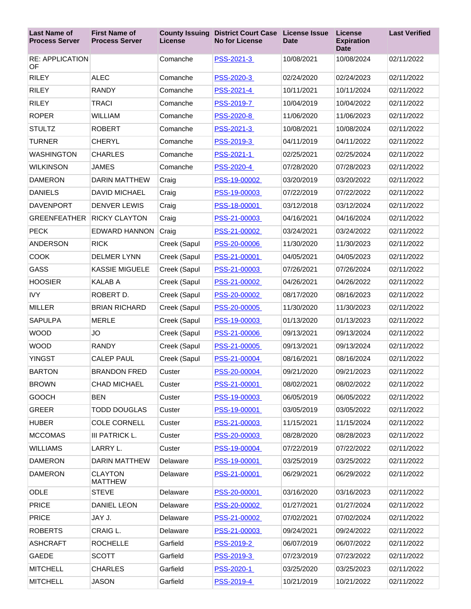| <b>Last Name of</b><br><b>Process Server</b> | <b>First Name of</b><br><b>Process Server</b> | License      | <b>County Issuing District Court Case</b><br><b>No for License</b> | <b>License Issue</b><br><b>Date</b> | License<br><b>Expiration</b><br><b>Date</b> | <b>Last Verified</b> |
|----------------------------------------------|-----------------------------------------------|--------------|--------------------------------------------------------------------|-------------------------------------|---------------------------------------------|----------------------|
| <b>RE: APPLICATION</b><br>OF                 |                                               | Comanche     | PSS-2021-3                                                         | 10/08/2021                          | 10/08/2024                                  | 02/11/2022           |
| <b>RILEY</b>                                 | <b>ALEC</b>                                   | Comanche     | PSS-2020-3                                                         | 02/24/2020                          | 02/24/2023                                  | 02/11/2022           |
| <b>RILEY</b>                                 | <b>RANDY</b>                                  | Comanche     | PSS-2021-4                                                         | 10/11/2021                          | 10/11/2024                                  | 02/11/2022           |
| <b>RILEY</b>                                 | <b>TRACI</b>                                  | Comanche     | <b>PSS-2019-7</b>                                                  | 10/04/2019                          | 10/04/2022                                  | 02/11/2022           |
| <b>ROPER</b>                                 | <b>WILLIAM</b>                                | Comanche     | <b>PSS-2020-8</b>                                                  | 11/06/2020                          | 11/06/2023                                  | 02/11/2022           |
| <b>STULTZ</b>                                | <b>ROBERT</b>                                 | Comanche     | PSS-2021-3                                                         | 10/08/2021                          | 10/08/2024                                  | 02/11/2022           |
| <b>TURNER</b>                                | <b>CHERYL</b>                                 | Comanche     | PSS-2019-3                                                         | 04/11/2019                          | 04/11/2022                                  | 02/11/2022           |
| <b>WASHINGTON</b>                            | <b>CHARLES</b>                                | Comanche     | PSS-2021-1                                                         | 02/25/2021                          | 02/25/2024                                  | 02/11/2022           |
| <b>WILKINSON</b>                             | <b>JAMES</b>                                  | Comanche     | PSS-2020-4                                                         | 07/28/2020                          | 07/28/2023                                  | 02/11/2022           |
| <b>DAMERON</b>                               | <b>DARIN MATTHEW</b>                          | Craig        | PSS-19-00002                                                       | 03/20/2019                          | 03/20/2022                                  | 02/11/2022           |
| <b>DANIELS</b>                               | <b>DAVID MICHAEL</b>                          | Craig        | PSS-19-00003                                                       | 07/22/2019                          | 07/22/2022                                  | 02/11/2022           |
| <b>DAVENPORT</b>                             | <b>DENVER LEWIS</b>                           | Craig        | PSS-18-00001                                                       | 03/12/2018                          | 03/12/2024                                  | 02/11/2022           |
| <b>GREENFEATHER</b>                          | <b>RICKY CLAYTON</b>                          | Craig        | PSS-21-00003                                                       | 04/16/2021                          | 04/16/2024                                  | 02/11/2022           |
| <b>PECK</b>                                  | <b>EDWARD HANNON</b>                          | Craig        | PSS-21-00002                                                       | 03/24/2021                          | 03/24/2022                                  | 02/11/2022           |
| <b>ANDERSON</b>                              | <b>RICK</b>                                   | Creek (Sapul | PSS-20-00006                                                       | 11/30/2020                          | 11/30/2023                                  | 02/11/2022           |
| <b>COOK</b>                                  | <b>DELMER LYNN</b>                            | Creek (Sapul | PSS-21-00001                                                       | 04/05/2021                          | 04/05/2023                                  | 02/11/2022           |
| <b>GASS</b>                                  | <b>KASSIE MIGUELE</b>                         | Creek (Sapul | PSS-21-00003                                                       | 07/26/2021                          | 07/26/2024                                  | 02/11/2022           |
| <b>HOOSIER</b>                               | <b>KALAB A</b>                                | Creek (Sapul | PSS-21-00002                                                       | 04/26/2021                          | 04/26/2022                                  | 02/11/2022           |
| <b>IVY</b>                                   | ROBERT D.                                     | Creek (Sapul | PSS-20-00002                                                       | 08/17/2020                          | 08/16/2023                                  | 02/11/2022           |
| <b>MILLER</b>                                | <b>BRIAN RICHARD</b>                          | Creek (Sapul | PSS-20-00005                                                       | 11/30/2020                          | 11/30/2023                                  | 02/11/2022           |
| <b>SAPULPA</b>                               | <b>MERLE</b>                                  | Creek (Sapul | PSS-19-00003                                                       | 01/13/2020                          | 01/13/2023                                  | 02/11/2022           |
| <b>WOOD</b>                                  | <b>JO</b>                                     | Creek (Sapul | PSS-21-00006                                                       | 09/13/2021                          | 09/13/2024                                  | 02/11/2022           |
| <b>WOOD</b>                                  | <b>RANDY</b>                                  | Creek (Sapul | PSS-21-00005                                                       | 09/13/2021                          | 09/13/2024                                  | 02/11/2022           |
| <b>YINGST</b>                                | <b>CALEP PAUL</b>                             | Creek (Sapul | PSS-21-00004                                                       | 08/16/2021                          | 08/16/2024                                  | 02/11/2022           |
| <b>BARTON</b>                                | <b>BRANDON FRED</b>                           | Custer       | PSS-20-00004                                                       | 09/21/2020                          | 09/21/2023                                  | 02/11/2022           |
| <b>BROWN</b>                                 | <b>CHAD MICHAEL</b>                           | Custer       | PSS-21-00001                                                       | 08/02/2021                          | 08/02/2022                                  | 02/11/2022           |
| GOOCH                                        | <b>BEN</b>                                    | Custer       | PSS-19-00003                                                       | 06/05/2019                          | 06/05/2022                                  | 02/11/2022           |
| <b>GREER</b>                                 | <b>TODD DOUGLAS</b>                           | Custer       | PSS-19-00001                                                       | 03/05/2019                          | 03/05/2022                                  | 02/11/2022           |
| <b>HUBER</b>                                 | <b>COLE CORNELL</b>                           | Custer       | PSS-21-00003                                                       | 11/15/2021                          | 11/15/2024                                  | 02/11/2022           |
| <b>MCCOMAS</b>                               | III PATRICK L.                                | Custer       | PSS-20-00003                                                       | 08/28/2020                          | 08/28/2023                                  | 02/11/2022           |
| <b>WILLIAMS</b>                              | LARRY L.                                      | Custer       | PSS-19-00004                                                       | 07/22/2019                          | 07/22/2022                                  | 02/11/2022           |
| <b>DAMERON</b>                               | <b>DARIN MATTHEW</b>                          | Delaware     | PSS-19-00001                                                       | 03/25/2019                          | 03/25/2022                                  | 02/11/2022           |
| <b>DAMERON</b>                               | <b>CLAYTON</b><br><b>MATTHEW</b>              | Delaware     | PSS-21-00001                                                       | 06/29/2021                          | 06/29/2022                                  | 02/11/2022           |
| ODLE                                         | <b>STEVE</b>                                  | Delaware     | PSS-20-00001                                                       | 03/16/2020                          | 03/16/2023                                  | 02/11/2022           |
| <b>PRICE</b>                                 | <b>DANIEL LEON</b>                            | Delaware     | PSS-20-00002                                                       | 01/27/2021                          | 01/27/2024                                  | 02/11/2022           |
| <b>PRICE</b>                                 | JAY J.                                        | Delaware     | PSS-21-00002                                                       | 07/02/2021                          | 07/02/2024                                  | 02/11/2022           |
| <b>ROBERTS</b>                               | CRAIG L.                                      | Delaware     | PSS-21-00003                                                       | 09/24/2021                          | 09/24/2022                                  | 02/11/2022           |
| <b>ASHCRAFT</b>                              | <b>ROCHELLE</b>                               | Garfield     | PSS-2019-2                                                         | 06/07/2019                          | 06/07/2022                                  | 02/11/2022           |
| GAEDE                                        | <b>SCOTT</b>                                  | Garfield     | PSS-2019-3                                                         | 07/23/2019                          | 07/23/2022                                  | 02/11/2022           |
| <b>MITCHELL</b>                              | <b>CHARLES</b>                                | Garfield     | PSS-2020-1                                                         | 03/25/2020                          | 03/25/2023                                  | 02/11/2022           |
| <b>MITCHELL</b>                              | <b>JASON</b>                                  | Garfield     | PSS-2019-4                                                         | 10/21/2019                          | 10/21/2022                                  | 02/11/2022           |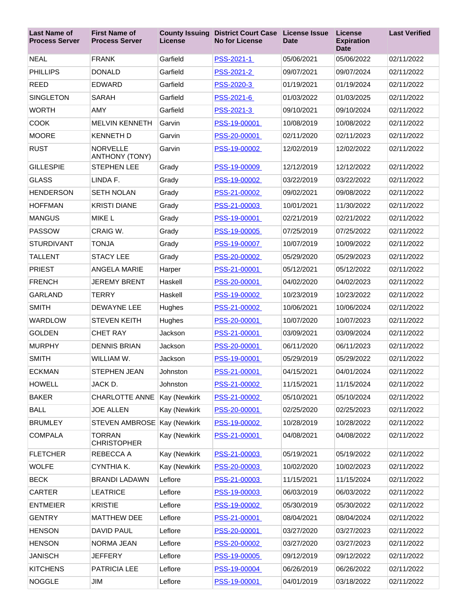| <b>Last Name of</b><br><b>Process Server</b> | <b>First Name of</b><br><b>Process Server</b> | License      | <b>County Issuing District Court Case</b><br><b>No for License</b> | <b>License Issue</b><br><b>Date</b> | License<br><b>Expiration</b><br><b>Date</b> | <b>Last Verified</b> |
|----------------------------------------------|-----------------------------------------------|--------------|--------------------------------------------------------------------|-------------------------------------|---------------------------------------------|----------------------|
| <b>NEAL</b>                                  | <b>FRANK</b>                                  | Garfield     | PSS-2021-1                                                         | 05/06/2021                          | 05/06/2022                                  | 02/11/2022           |
| <b>PHILLIPS</b>                              | <b>DONALD</b>                                 | Garfield     | PSS-2021-2                                                         | 09/07/2021                          | 09/07/2024                                  | 02/11/2022           |
| <b>REED</b>                                  | EDWARD                                        | Garfield     | PSS-2020-3                                                         | 01/19/2021                          | 01/19/2024                                  | 02/11/2022           |
| <b>SINGLETON</b>                             | <b>SARAH</b>                                  | Garfield     | PSS-2021-6                                                         | 01/03/2022                          | 01/03/2025                                  | 02/11/2022           |
| <b>WORTH</b>                                 | <b>AMY</b>                                    | Garfield     | PSS-2021-3                                                         | 09/10/2021                          | 09/10/2024                                  | 02/11/2022           |
| <b>COOK</b>                                  | <b>MELVIN KENNETH</b>                         | Garvin       | PSS-19-00001                                                       | 10/08/2019                          | 10/08/2022                                  | 02/11/2022           |
| <b>MOORE</b>                                 | <b>KENNETH D</b>                              | Garvin       | PSS-20-00001                                                       | 02/11/2020                          | 02/11/2023                                  | 02/11/2022           |
| <b>RUST</b>                                  | <b>NORVELLE</b><br><b>ANTHONY (TONY)</b>      | Garvin       | PSS-19-00002                                                       | 12/02/2019                          | 12/02/2022                                  | 02/11/2022           |
| <b>GILLESPIE</b>                             | <b>STEPHEN LEE</b>                            | Grady        | PSS-19-00009                                                       | 12/12/2019                          | 12/12/2022                                  | 02/11/2022           |
| <b>GLASS</b>                                 | LINDA F.                                      | Grady        | PSS-19-00002                                                       | 03/22/2019                          | 03/22/2022                                  | 02/11/2022           |
| <b>HENDERSON</b>                             | <b>SETH NOLAN</b>                             | Grady        | PSS-21-00002                                                       | 09/02/2021                          | 09/08/2022                                  | 02/11/2022           |
| <b>HOFFMAN</b>                               | <b>KRISTI DIANE</b>                           | Grady        | PSS-21-00003                                                       | 10/01/2021                          | 11/30/2022                                  | 02/11/2022           |
| <b>MANGUS</b>                                | <b>MIKE L</b>                                 | Grady        | PSS-19-00001                                                       | 02/21/2019                          | 02/21/2022                                  | 02/11/2022           |
| <b>PASSOW</b>                                | CRAIG W.                                      | Grady        | PSS-19-00005                                                       | 07/25/2019                          | 07/25/2022                                  | 02/11/2022           |
| <b>STURDIVANT</b>                            | <b>TONJA</b>                                  | Grady        | PSS-19-00007                                                       | 10/07/2019                          | 10/09/2022                                  | 02/11/2022           |
| <b>TALLENT</b>                               | <b>STACY LEE</b>                              | Grady        | PSS-20-00002                                                       | 05/29/2020                          | 05/29/2023                                  | 02/11/2022           |
| <b>PRIEST</b>                                | <b>ANGELA MARIE</b>                           | Harper       | PSS-21-00001                                                       | 05/12/2021                          | 05/12/2022                                  | 02/11/2022           |
| <b>FRENCH</b>                                | <b>JEREMY BRENT</b>                           | Haskell      | PSS-20-00001                                                       | 04/02/2020                          | 04/02/2023                                  | 02/11/2022           |
| GARLAND                                      | <b>TERRY</b>                                  | Haskell      | PSS-19-00002                                                       | 10/23/2019                          | 10/23/2022                                  | 02/11/2022           |
| <b>SMITH</b>                                 | <b>DEWAYNE LEE</b>                            | Hughes       | PSS-21-00002                                                       | 10/06/2021                          | 10/06/2024                                  | 02/11/2022           |
| <b>WARDLOW</b>                               | <b>STEVEN KEITH</b>                           | Hughes       | PSS-20-00001                                                       | 10/07/2020                          | 10/07/2023                                  | 02/11/2022           |
| <b>GOLDEN</b>                                | <b>CHET RAY</b>                               | Jackson      | PSS-21-00001                                                       | 03/09/2021                          | 03/09/2024                                  | 02/11/2022           |
| <b>MURPHY</b>                                | <b>DENNIS BRIAN</b>                           | Jackson      | PSS-20-00001                                                       | 06/11/2020                          | 06/11/2023                                  | 02/11/2022           |
| <b>SMITH</b>                                 | WILLIAM W.                                    | Jackson      | PSS-19-00001                                                       | 05/29/2019                          | 05/29/2022                                  | 02/11/2022           |
| <b>ECKMAN</b>                                | STEPHEN JEAN                                  | Johnston     | PSS-21-00001                                                       | 04/15/2021                          | 04/01/2024                                  | 02/11/2022           |
| <b>HOWELL</b>                                | JACK D.                                       | Johnston     | PSS-21-00002                                                       | 11/15/2021                          | 11/15/2024                                  | 02/11/2022           |
| <b>BAKER</b>                                 | <b>CHARLOTTE ANNE</b>                         | Kay (Newkirk | PSS-21-00002                                                       | 05/10/2021                          | 05/10/2024                                  | 02/11/2022           |
| <b>BALL</b>                                  | <b>JOE ALLEN</b>                              | Kay (Newkirk | PSS-20-00001                                                       | 02/25/2020                          | 02/25/2023                                  | 02/11/2022           |
| <b>BRUMLEY</b>                               | STEVEN AMBROSE Kay (Newkirk                   |              | PSS-19-00002                                                       | 10/28/2019                          | 10/28/2022                                  | 02/11/2022           |
| <b>COMPALA</b>                               | <b>TORRAN</b><br><b>CHRISTOPHER</b>           | Kay (Newkirk | PSS-21-00001                                                       | 04/08/2021                          | 04/08/2022                                  | 02/11/2022           |
| <b>FLETCHER</b>                              | REBECCA A                                     | Kay (Newkirk | PSS-21-00003                                                       | 05/19/2021                          | 05/19/2022                                  | 02/11/2022           |
| <b>WOLFE</b>                                 | CYNTHIA K.                                    | Kay (Newkirk | PSS-20-00003                                                       | 10/02/2020                          | 10/02/2023                                  | 02/11/2022           |
| <b>BECK</b>                                  | <b>BRANDI LADAWN</b>                          | Leflore      | PSS-21-00003                                                       | 11/15/2021                          | 11/15/2024                                  | 02/11/2022           |
| <b>CARTER</b>                                | <b>LEATRICE</b>                               | Leflore      | PSS-19-00003                                                       | 06/03/2019                          | 06/03/2022                                  | 02/11/2022           |
| <b>ENTMEIER</b>                              | <b>KRISTIE</b>                                | Leflore      | PSS-19-00002                                                       | 05/30/2019                          | 05/30/2022                                  | 02/11/2022           |
| <b>GENTRY</b>                                | <b>MATTHEW DEE</b>                            | Leflore      | PSS-21-00001                                                       | 08/04/2021                          | 08/04/2024                                  | 02/11/2022           |
| <b>HENSON</b>                                | <b>DAVID PAUL</b>                             | Leflore      | PSS-20-00001                                                       | 03/27/2020                          | 03/27/2023                                  | 02/11/2022           |
| <b>HENSON</b>                                | NORMA JEAN                                    | Leflore      | PSS-20-00002                                                       | 03/27/2020                          | 03/27/2023                                  | 02/11/2022           |
| <b>JANISCH</b>                               | <b>JEFFERY</b>                                | Leflore      | PSS-19-00005                                                       | 09/12/2019                          | 09/12/2022                                  | 02/11/2022           |
| <b>KITCHENS</b>                              | PATRICIA LEE                                  | Leflore      | PSS-19-00004                                                       | 06/26/2019                          | 06/26/2022                                  | 02/11/2022           |
| <b>NOGGLE</b>                                | JIM                                           | Leflore      | PSS-19-00001                                                       | 04/01/2019                          | 03/18/2022                                  | 02/11/2022           |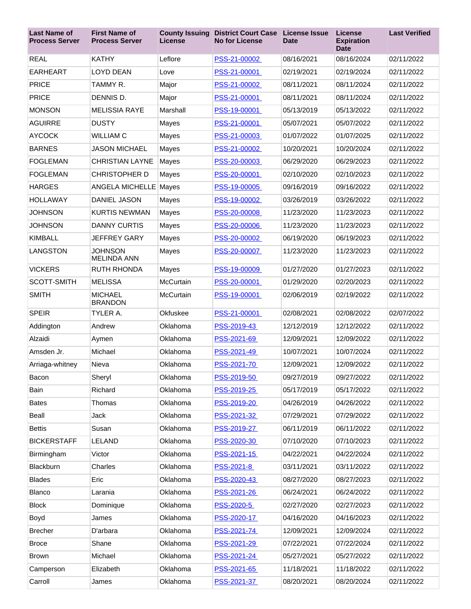| <b>Last Name of</b><br><b>Process Server</b> | <b>First Name of</b><br><b>Process Server</b> | <b>County Issuing</b><br>License | <b>District Court Case</b><br><b>No for License</b> | <b>License Issue</b><br><b>Date</b> | <b>License</b><br><b>Expiration</b><br><b>Date</b> | <b>Last Verified</b> |
|----------------------------------------------|-----------------------------------------------|----------------------------------|-----------------------------------------------------|-------------------------------------|----------------------------------------------------|----------------------|
| <b>REAL</b>                                  | <b>KATHY</b>                                  | Leflore                          | PSS-21-00002                                        | 08/16/2021                          | 08/16/2024                                         | 02/11/2022           |
| <b>EARHEART</b>                              | <b>LOYD DEAN</b>                              | Love                             | PSS-21-00001                                        | 02/19/2021                          | 02/19/2024                                         | 02/11/2022           |
| <b>PRICE</b>                                 | TAMMY R.                                      | Major                            | PSS-21-00002                                        | 08/11/2021                          | 08/11/2024                                         | 02/11/2022           |
| <b>PRICE</b>                                 | DENNIS D.                                     | Major                            | PSS-21-00001                                        | 08/11/2021                          | 08/11/2024                                         | 02/11/2022           |
| <b>MONSON</b>                                | <b>MELISSIA RAYE</b>                          | Marshall                         | PSS-19-00001                                        | 05/13/2019                          | 05/13/2022                                         | 02/11/2022           |
| <b>AGUIRRE</b>                               | <b>DUSTY</b>                                  | Mayes                            | PSS-21-00001                                        | 05/07/2021                          | 05/07/2022                                         | 02/11/2022           |
| <b>AYCOCK</b>                                | <b>WILLIAM C</b>                              | Mayes                            | PSS-21-00003                                        | 01/07/2022                          | 01/07/2025                                         | 02/11/2022           |
| <b>BARNES</b>                                | <b>JASON MICHAEL</b>                          | Mayes                            | PSS-21-00002                                        | 10/20/2021                          | 10/20/2024                                         | 02/11/2022           |
| <b>FOGLEMAN</b>                              | <b>CHRISTIAN LAYNE</b>                        | Mayes                            | PSS-20-00003                                        | 06/29/2020                          | 06/29/2023                                         | 02/11/2022           |
| <b>FOGLEMAN</b>                              | <b>CHRISTOPHER D</b>                          | Mayes                            | PSS-20-00001                                        | 02/10/2020                          | 02/10/2023                                         | 02/11/2022           |
| <b>HARGES</b>                                | <b>ANGELA MICHELLE Mayes</b>                  |                                  | PSS-19-00005                                        | 09/16/2019                          | 09/16/2022                                         | 02/11/2022           |
| <b>HOLLAWAY</b>                              | <b>DANIEL JASON</b>                           | Mayes                            | PSS-19-00002                                        | 03/26/2019                          | 03/26/2022                                         | 02/11/2022           |
| <b>JOHNSON</b>                               | <b>KURTIS NEWMAN</b>                          | Mayes                            | PSS-20-00008                                        | 11/23/2020                          | 11/23/2023                                         | 02/11/2022           |
| <b>JOHNSON</b>                               | <b>DANNY CURTIS</b>                           | Mayes                            | PSS-20-00006                                        | 11/23/2020                          | 11/23/2023                                         | 02/11/2022           |
| <b>KIMBALL</b>                               | <b>JEFFREY GARY</b>                           | Mayes                            | PSS-20-00002                                        | 06/19/2020                          | 06/19/2023                                         | 02/11/2022           |
| LANGSTON                                     | <b>JOHNSON</b><br><b>MELINDA ANN</b>          | Mayes                            | PSS-20-00007                                        | 11/23/2020                          | 11/23/2023                                         | 02/11/2022           |
| <b>VICKERS</b>                               | <b>RUTH RHONDA</b>                            | Mayes                            | PSS-19-00009                                        | 01/27/2020                          | 01/27/2023                                         | 02/11/2022           |
| SCOTT-SMITH                                  | <b>MELISSA</b>                                | McCurtain                        | PSS-20-00001                                        | 01/29/2020                          | 02/20/2023                                         | 02/11/2022           |
| <b>SMITH</b>                                 | <b>MICHAEL</b><br><b>BRANDON</b>              | McCurtain                        | PSS-19-00001                                        | 02/06/2019                          | 02/19/2022                                         | 02/11/2022           |
| <b>SPEIR</b>                                 | TYLER A.                                      | Okfuskee                         | PSS-21-00001                                        | 02/08/2021                          | 02/08/2022                                         | 02/07/2022           |
| Addington                                    | Andrew                                        | Oklahoma                         | PSS-2019-43                                         | 12/12/2019                          | 12/12/2022                                         | 02/11/2022           |
| Alzaidi                                      | Aymen                                         | Oklahoma                         | PSS-2021-69                                         | 12/09/2021                          | 12/09/2022                                         | 02/11/2022           |
| Amsden Jr.                                   | Michael                                       | Oklahoma                         | PSS-2021-49                                         | 10/07/2021                          | 10/07/2024                                         | 02/11/2022           |
| Arriaga-whitney                              | Nieva                                         | Oklahoma                         | PSS-2021-70                                         | 12/09/2021                          | 12/09/2022                                         | 02/11/2022           |
| Bacon                                        | Sheryl                                        | Oklahoma                         | PSS-2019-50                                         | 09/27/2019                          | 09/27/2022                                         | 02/11/2022           |
| Bain                                         | Richard                                       | Oklahoma                         | PSS-2019-25                                         | 05/17/2019                          | 05/17/2022                                         | 02/11/2022           |
| <b>Bates</b>                                 | Thomas                                        | Oklahoma                         | PSS-2019-20                                         | 04/26/2019                          | 04/26/2022                                         | 02/11/2022           |
| Beall                                        | Jack                                          | Oklahoma                         | PSS-2021-32                                         | 07/29/2021                          | 07/29/2022                                         | 02/11/2022           |
| <b>Bettis</b>                                | Susan                                         | Oklahoma                         | PSS-2019-27                                         | 06/11/2019                          | 06/11/2022                                         | 02/11/2022           |
| <b>BICKERSTAFF</b>                           | LELAND                                        | Oklahoma                         | PSS-2020-30                                         | 07/10/2020                          | 07/10/2023                                         | 02/11/2022           |
| Birmingham                                   | Victor                                        | Oklahoma                         | PSS-2021-15                                         | 04/22/2021                          | 04/22/2024                                         | 02/11/2022           |
| Blackburn                                    | Charles                                       | Oklahoma                         | PSS-2021-8                                          | 03/11/2021                          | 03/11/2022                                         | 02/11/2022           |
| <b>Blades</b>                                | Eric                                          | Oklahoma                         | PSS-2020-43                                         | 08/27/2020                          | 08/27/2023                                         | 02/11/2022           |
| Blanco                                       | Larania                                       | Oklahoma                         | PSS-2021-26                                         | 06/24/2021                          | 06/24/2022                                         | 02/11/2022           |
| <b>Block</b>                                 | Dominique                                     | Oklahoma                         | PSS-2020-5                                          | 02/27/2020                          | 02/27/2023                                         | 02/11/2022           |
| Boyd                                         | James                                         | Oklahoma                         | PSS-2020-17                                         | 04/16/2020                          | 04/16/2023                                         | 02/11/2022           |
| <b>Brecher</b>                               | D'arbara                                      | Oklahoma                         | PSS-2021-74                                         | 12/09/2021                          | 12/09/2024                                         | 02/11/2022           |
| <b>Broce</b>                                 | Shane                                         | Oklahoma                         | PSS-2021-29                                         | 07/22/2021                          | 07/22/2024                                         | 02/11/2022           |
| <b>Brown</b>                                 | Michael                                       | Oklahoma                         | PSS-2021-24                                         | 05/27/2021                          | 05/27/2022                                         | 02/11/2022           |
| Camperson                                    | Elizabeth                                     | Oklahoma                         | PSS-2021-65                                         | 11/18/2021                          | 11/18/2022                                         | 02/11/2022           |
| Carroll                                      | James                                         | Oklahoma                         | PSS-2021-37                                         | 08/20/2021                          | 08/20/2024                                         | 02/11/2022           |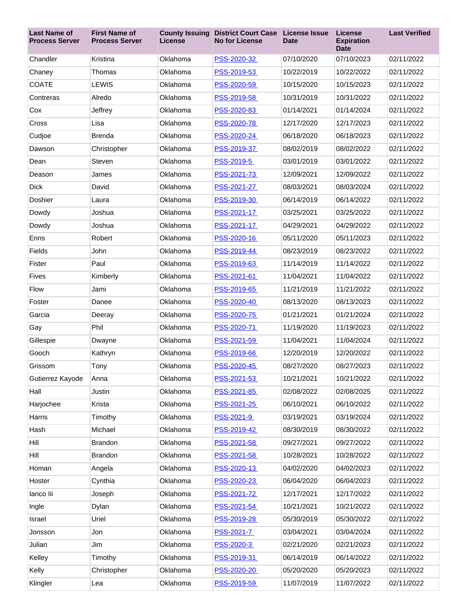| <b>Last Name of</b><br><b>Process Server</b> | <b>First Name of</b><br><b>Process Server</b> | <b>County Issuing</b><br>License | <b>District Court Case</b><br><b>No for License</b> | <b>License Issue</b><br><b>Date</b> | License<br><b>Expiration</b><br><b>Date</b> | <b>Last Verified</b> |
|----------------------------------------------|-----------------------------------------------|----------------------------------|-----------------------------------------------------|-------------------------------------|---------------------------------------------|----------------------|
| Chandler                                     | Kristina                                      | Oklahoma                         | PSS-2020-32                                         | 07/10/2020                          | 07/10/2023                                  | 02/11/2022           |
| Chaney                                       | Thomas                                        | Oklahoma                         | PSS-2019-53                                         | 10/22/2019                          | 10/22/2022                                  | 02/11/2022           |
| <b>COATE</b>                                 | LEWIS                                         | Oklahoma                         | PSS-2020-59                                         | 10/15/2020                          | 10/15/2023                                  | 02/11/2022           |
| Contreras                                    | Alredo                                        | Oklahoma                         | PSS-2019-58                                         | 10/31/2019                          | 10/31/2022                                  | 02/11/2022           |
| Cox                                          | Jeffrey                                       | Oklahoma                         | PSS-2020-83                                         | 01/14/2021                          | 01/14/2024                                  | 02/11/2022           |
| Cross                                        | Lisa                                          | Oklahoma                         | PSS-2020-78                                         | 12/17/2020                          | 12/17/2023                                  | 02/11/2022           |
| Cudjoe                                       | <b>Brenda</b>                                 | Oklahoma                         | PSS-2020-24                                         | 06/18/2020                          | 06/18/2023                                  | 02/11/2022           |
| Dawson                                       | Christopher                                   | Oklahoma                         | PSS-2019-37                                         | 08/02/2019                          | 08/02/2022                                  | 02/11/2022           |
| Dean                                         | Steven                                        | Oklahoma                         | PSS-2019-5                                          | 03/01/2019                          | 03/01/2022                                  | 02/11/2022           |
| Deason                                       | James                                         | Oklahoma                         | PSS-2021-73                                         | 12/09/2021                          | 12/09/2022                                  | 02/11/2022           |
| <b>Dick</b>                                  | David                                         | Oklahoma                         | PSS-2021-27                                         | 08/03/2021                          | 08/03/2024                                  | 02/11/2022           |
| Doshier                                      | Laura                                         | Oklahoma                         | PSS-2019-30                                         | 06/14/2019                          | 06/14/2022                                  | 02/11/2022           |
| Dowdy                                        | Joshua                                        | Oklahoma                         | PSS-2021-17                                         | 03/25/2021                          | 03/25/2022                                  | 02/11/2022           |
| Dowdy                                        | Joshua                                        | Oklahoma                         | PSS-2021-17                                         | 04/29/2021                          | 04/29/2022                                  | 02/11/2022           |
| Enns                                         | Robert                                        | Oklahoma                         | PSS-2020-16                                         | 05/11/2020                          | 05/11/2023                                  | 02/11/2022           |
| Fields                                       | John                                          | Oklahoma                         | PSS-2019-44                                         | 08/23/2019                          | 08/23/2022                                  | 02/11/2022           |
| Fister                                       | Paul                                          | Oklahoma                         | PSS-2019-63                                         | 11/14/2019                          | 11/14/2022                                  | 02/11/2022           |
| <b>Fives</b>                                 | Kimberly                                      | Oklahoma                         | PSS-2021-61                                         | 11/04/2021                          | 11/04/2022                                  | 02/11/2022           |
| <b>Flow</b>                                  | Jami                                          | Oklahoma                         | PSS-2019-65                                         | 11/21/2019                          | 11/21/2022                                  | 02/11/2022           |
| Foster                                       | Danee                                         | Oklahoma                         | PSS-2020-40                                         | 08/13/2020                          | 08/13/2023                                  | 02/11/2022           |
| Garcia                                       | Deeray                                        | Oklahoma                         | PSS-2020-75                                         | 01/21/2021                          | 01/21/2024                                  | 02/11/2022           |
| Gay                                          | Phil                                          | Oklahoma                         | PSS-2020-71                                         | 11/19/2020                          | 11/19/2023                                  | 02/11/2022           |
| Gillespie                                    | Dwayne                                        | Oklahoma                         | PSS-2021-59                                         | 11/04/2021                          | 11/04/2024                                  | 02/11/2022           |
| Gooch                                        | Kathryn                                       | Oklahoma                         | PSS-2019-66                                         | 12/20/2019                          | 12/20/2022                                  | 02/11/2022           |
| Grissom                                      | Tony                                          | Oklahoma                         | PSS-2020-45                                         | 08/27/2020                          | 08/27/2023                                  | 02/11/2022           |
| Gutierrez Kayode                             | Anna                                          | Oklahoma                         | PSS-2021-53                                         | 10/21/2021                          | 10/21/2022                                  | 02/11/2022           |
| Hall                                         | Justin                                        | Oklahoma                         | PSS-2021-85                                         | 02/08/2022                          | 02/08/2025                                  | 02/11/2022           |
| Harjochee                                    | Krista                                        | Oklahoma                         | PSS-2021-25                                         | 06/10/2021                          | 06/10/2022                                  | 02/11/2022           |
| Harris                                       | Timothy                                       | Oklahoma                         | PSS-2021-9                                          | 03/19/2021                          | 03/19/2024                                  | 02/11/2022           |
| Hash                                         | Michael                                       | Oklahoma                         | PSS-2019-42                                         | 08/30/2019                          | 08/30/2022                                  | 02/11/2022           |
| Hill                                         | <b>Brandon</b>                                | Oklahoma                         | PSS-2021-58                                         | 09/27/2021                          | 09/27/2022                                  | 02/11/2022           |
| Hill                                         | Brandon                                       | Oklahoma                         | PSS-2021-58                                         | 10/28/2021                          | 10/28/2022                                  | 02/11/2022           |
| Homan                                        | Angela                                        | Oklahoma                         | PSS-2020-13                                         | 04/02/2020                          | 04/02/2023                                  | 02/11/2022           |
| Hoster                                       | Cynthia                                       | Oklahoma                         | PSS-2020-23                                         | 06/04/2020                          | 06/04/2023                                  | 02/11/2022           |
| lanco lii                                    | Joseph                                        | Oklahoma                         | PSS-2021-72                                         | 12/17/2021                          | 12/17/2022                                  | 02/11/2022           |
| Ingle                                        | Dylan                                         | Oklahoma                         | PSS-2021-54                                         | 10/21/2021                          | 10/21/2022                                  | 02/11/2022           |
| Israel                                       | Uriel                                         | Oklahoma                         | PSS-2019-28                                         | 05/30/2019                          | 05/30/2022                                  | 02/11/2022           |
| Jonsson                                      | Jon                                           | Oklahoma                         | PSS-2021-7                                          | 03/04/2021                          | 03/04/2024                                  | 02/11/2022           |
| Julian                                       | Jim                                           | Oklahoma                         | PSS-2020-3                                          | 02/21/2020                          | 02/21/2023                                  | 02/11/2022           |
| Kelley                                       | Timothy                                       | Oklahoma                         | PSS-2019-31                                         | 06/14/2019                          | 06/14/2022                                  | 02/11/2022           |
| Kelly                                        | Christopher                                   | Oklahoma                         | PSS-2020-20                                         | 05/20/2020                          | 05/20/2023                                  | 02/11/2022           |
| Klingler                                     | Lea                                           | Oklahoma                         | PSS-2019-59                                         | 11/07/2019                          | 11/07/2022                                  | 02/11/2022           |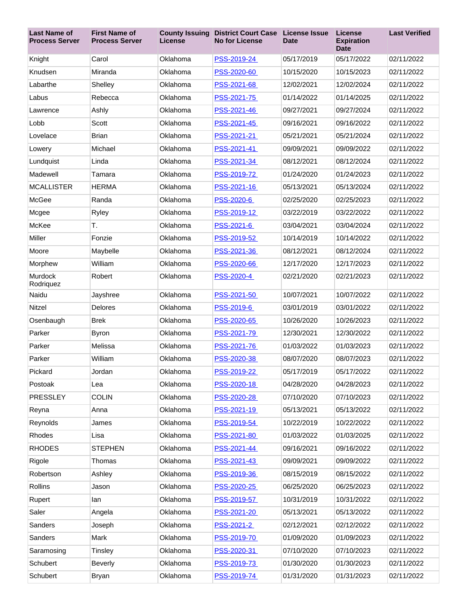| <b>Last Name of</b><br><b>Process Server</b> | <b>First Name of</b><br><b>Process Server</b> | <b>County Issuing</b><br><b>License</b> | <b>District Court Case</b><br><b>No for License</b> | <b>License Issue</b><br><b>Date</b> | License<br><b>Expiration</b><br><b>Date</b> | <b>Last Verified</b> |
|----------------------------------------------|-----------------------------------------------|-----------------------------------------|-----------------------------------------------------|-------------------------------------|---------------------------------------------|----------------------|
| Knight                                       | Carol                                         | Oklahoma                                | PSS-2019-24                                         | 05/17/2019                          | 05/17/2022                                  | 02/11/2022           |
| Knudsen                                      | Miranda                                       | Oklahoma                                | PSS-2020-60                                         | 10/15/2020                          | 10/15/2023                                  | 02/11/2022           |
| Labarthe                                     | Shelley                                       | Oklahoma                                | PSS-2021-68                                         | 12/02/2021                          | 12/02/2024                                  | 02/11/2022           |
| Labus                                        | Rebecca                                       | Oklahoma                                | PSS-2021-75                                         | 01/14/2022                          | 01/14/2025                                  | 02/11/2022           |
| Lawrence                                     | Ashly                                         | Oklahoma                                | PSS-2021-46                                         | 09/27/2021                          | 09/27/2024                                  | 02/11/2022           |
| Lobb                                         | Scott                                         | Oklahoma                                | PSS-2021-45                                         | 09/16/2021                          | 09/16/2022                                  | 02/11/2022           |
| Lovelace                                     | <b>Brian</b>                                  | Oklahoma                                | PSS-2021-21                                         | 05/21/2021                          | 05/21/2024                                  | 02/11/2022           |
| Lowery                                       | Michael                                       | Oklahoma                                | PSS-2021-41                                         | 09/09/2021                          | 09/09/2022                                  | 02/11/2022           |
| Lundquist                                    | Linda                                         | Oklahoma                                | PSS-2021-34                                         | 08/12/2021                          | 08/12/2024                                  | 02/11/2022           |
| Madewell                                     | Tamara                                        | Oklahoma                                | PSS-2019-72                                         | 01/24/2020                          | 01/24/2023                                  | 02/11/2022           |
| <b>MCALLISTER</b>                            | <b>HERMA</b>                                  | Oklahoma                                | PSS-2021-16                                         | 05/13/2021                          | 05/13/2024                                  | 02/11/2022           |
| McGee                                        | Randa                                         | Oklahoma                                | <b>PSS-2020-6</b>                                   | 02/25/2020                          | 02/25/2023                                  | 02/11/2022           |
| Mcgee                                        | Ryley                                         | Oklahoma                                | PSS-2019-12                                         | 03/22/2019                          | 03/22/2022                                  | 02/11/2022           |
| McKee                                        | T.                                            | Oklahoma                                | PSS-2021-6                                          | 03/04/2021                          | 03/04/2024                                  | 02/11/2022           |
| Miller                                       | Fonzie                                        | Oklahoma                                | PSS-2019-52                                         | 10/14/2019                          | 10/14/2022                                  | 02/11/2022           |
| Moore                                        | Maybelle                                      | Oklahoma                                | PSS-2021-36                                         | 08/12/2021                          | 08/12/2024                                  | 02/11/2022           |
| Morphew                                      | William                                       | Oklahoma                                | PSS-2020-66                                         | 12/17/2020                          | 12/17/2023                                  | 02/11/2022           |
| Murdock<br>Rodriquez                         | Robert                                        | Oklahoma                                | PSS-2020-4                                          | 02/21/2020                          | 02/21/2023                                  | 02/11/2022           |
| Naidu                                        | Jayshree                                      | Oklahoma                                | PSS-2021-50                                         | 10/07/2021                          | 10/07/2022                                  | 02/11/2022           |
| Nitzel                                       | Delores                                       | Oklahoma                                | PSS-2019-6                                          | 03/01/2019                          | 03/01/2022                                  | 02/11/2022           |
| Osenbaugh                                    | <b>Brek</b>                                   | Oklahoma                                | PSS-2020-65                                         | 10/26/2020                          | 10/26/2023                                  | 02/11/2022           |
| Parker                                       | <b>Byron</b>                                  | Oklahoma                                | PSS-2021-79                                         | 12/30/2021                          | 12/30/2022                                  | 02/11/2022           |
| Parker                                       | Melissa                                       | Oklahoma                                | PSS-2021-76                                         | 01/03/2022                          | 01/03/2023                                  | 02/11/2022           |
| Parker                                       | William                                       | Oklahoma                                | PSS-2020-38                                         | 08/07/2020                          | 08/07/2023                                  | 02/11/2022           |
| Pickard                                      | Jordan                                        | Oklahoma                                | PSS-2019-22                                         | 05/17/2019                          | 05/17/2022                                  | 02/11/2022           |
| Postoak                                      | Lea                                           | Oklahoma                                | PSS-2020-18                                         | 04/28/2020                          | 04/28/2023                                  | 02/11/2022           |
| <b>PRESSLEY</b>                              | <b>COLIN</b>                                  | Oklahoma                                | PSS-2020-28                                         | 07/10/2020                          | 07/10/2023                                  | 02/11/2022           |
| Reyna                                        | Anna                                          | Oklahoma                                | PSS-2021-19                                         | 05/13/2021                          | 05/13/2022                                  | 02/11/2022           |
| Reynolds                                     | James                                         | Oklahoma                                | PSS-2019-54                                         | 10/22/2019                          | 10/22/2022                                  | 02/11/2022           |
| Rhodes                                       | Lisa                                          | Oklahoma                                | PSS-2021-80                                         | 01/03/2022                          | 01/03/2025                                  | 02/11/2022           |
| <b>RHODES</b>                                | <b>STEPHEN</b>                                | Oklahoma                                | PSS-2021-44                                         | 09/16/2021                          | 09/16/2022                                  | 02/11/2022           |
| Rigole                                       | Thomas                                        | Oklahoma                                | PSS-2021-43                                         | 09/09/2021                          | 09/09/2022                                  | 02/11/2022           |
| Robertson                                    | Ashley                                        | Oklahoma                                | PSS-2019-36                                         | 08/15/2019                          | 08/15/2022                                  | 02/11/2022           |
| Rollins                                      | Jason                                         | Oklahoma                                | PSS-2020-25                                         | 06/25/2020                          | 06/25/2023                                  | 02/11/2022           |
| Rupert                                       | lan                                           | Oklahoma                                | PSS-2019-57                                         | 10/31/2019                          | 10/31/2022                                  | 02/11/2022           |
| Saler                                        | Angela                                        | Oklahoma                                | PSS-2021-20                                         | 05/13/2021                          | 05/13/2022                                  | 02/11/2022           |
| Sanders                                      | Joseph                                        | Oklahoma                                | PSS-2021-2                                          | 02/12/2021                          | 02/12/2022                                  | 02/11/2022           |
| Sanders                                      | Mark                                          | Oklahoma                                | PSS-2019-70                                         | 01/09/2020                          | 01/09/2023                                  | 02/11/2022           |
| Saramosing                                   | Tinsley                                       | Oklahoma                                | PSS-2020-31                                         | 07/10/2020                          | 07/10/2023                                  | 02/11/2022           |
| Schubert                                     | <b>Beverly</b>                                | Oklahoma                                | PSS-2019-73                                         | 01/30/2020                          | 01/30/2023                                  | 02/11/2022           |
| Schubert                                     | <b>Bryan</b>                                  | Oklahoma                                | PSS-2019-74                                         | 01/31/2020                          | 01/31/2023                                  | 02/11/2022           |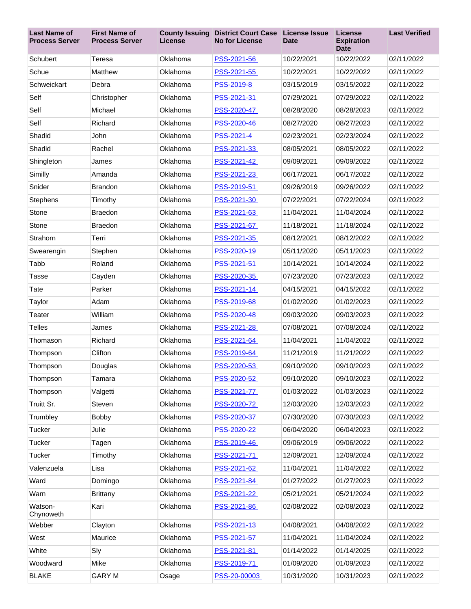| <b>Last Name of</b><br><b>Process Server</b> | <b>First Name of</b><br><b>Process Server</b> | <b>County Issuing</b><br>License | <b>District Court Case</b><br><b>No for License</b> | License Issue<br><b>Date</b> | License<br><b>Expiration</b><br><b>Date</b> | <b>Last Verified</b> |
|----------------------------------------------|-----------------------------------------------|----------------------------------|-----------------------------------------------------|------------------------------|---------------------------------------------|----------------------|
| Schubert                                     | Teresa                                        | Oklahoma                         | PSS-2021-56                                         | 10/22/2021                   | 10/22/2022                                  | 02/11/2022           |
| Schue                                        | Matthew                                       | Oklahoma                         | PSS-2021-55                                         | 10/22/2021                   | 10/22/2022                                  | 02/11/2022           |
| Schweickart                                  | Debra                                         | Oklahoma                         | PSS-2019-8                                          | 03/15/2019                   | 03/15/2022                                  | 02/11/2022           |
| Self                                         | Christopher                                   | Oklahoma                         | PSS-2021-31                                         | 07/29/2021                   | 07/29/2022                                  | 02/11/2022           |
| Self                                         | Michael                                       | Oklahoma                         | PSS-2020-47                                         | 08/28/2020                   | 08/28/2023                                  | 02/11/2022           |
| Self                                         | Richard                                       | Oklahoma                         | PSS-2020-46                                         | 08/27/2020                   | 08/27/2023                                  | 02/11/2022           |
| Shadid                                       | John                                          | Oklahoma                         | PSS-2021-4                                          | 02/23/2021                   | 02/23/2024                                  | 02/11/2022           |
| Shadid                                       | Rachel                                        | Oklahoma                         | PSS-2021-33                                         | 08/05/2021                   | 08/05/2022                                  | 02/11/2022           |
| Shingleton                                   | James                                         | Oklahoma                         | PSS-2021-42                                         | 09/09/2021                   | 09/09/2022                                  | 02/11/2022           |
| Similly                                      | Amanda                                        | Oklahoma                         | PSS-2021-23                                         | 06/17/2021                   | 06/17/2022                                  | 02/11/2022           |
| Snider                                       | <b>Brandon</b>                                | Oklahoma                         | PSS-2019-51                                         | 09/26/2019                   | 09/26/2022                                  | 02/11/2022           |
| Stephens                                     | Timothy                                       | Oklahoma                         | PSS-2021-30                                         | 07/22/2021                   | 07/22/2024                                  | 02/11/2022           |
| Stone                                        | <b>Braedon</b>                                | Oklahoma                         | PSS-2021-63                                         | 11/04/2021                   | 11/04/2024                                  | 02/11/2022           |
| Stone                                        | <b>Braedon</b>                                | Oklahoma                         | PSS-2021-67                                         | 11/18/2021                   | 11/18/2024                                  | 02/11/2022           |
| Strahorn                                     | Terri                                         | Oklahoma                         | PSS-2021-35                                         | 08/12/2021                   | 08/12/2022                                  | 02/11/2022           |
| Swearengin                                   | Stephen                                       | Oklahoma                         | PSS-2020-19                                         | 05/11/2020                   | 05/11/2023                                  | 02/11/2022           |
| Tabb                                         | Roland                                        | Oklahoma                         | PSS-2021-51                                         | 10/14/2021                   | 10/14/2024                                  | 02/11/2022           |
| Tasse                                        | Cayden                                        | Oklahoma                         | PSS-2020-35                                         | 07/23/2020                   | 07/23/2023                                  | 02/11/2022           |
| Tate                                         | Parker                                        | Oklahoma                         | PSS-2021-14                                         | 04/15/2021                   | 04/15/2022                                  | 02/11/2022           |
| Taylor                                       | Adam                                          | Oklahoma                         | PSS-2019-68                                         | 01/02/2020                   | 01/02/2023                                  | 02/11/2022           |
| Teater                                       | William                                       | Oklahoma                         | PSS-2020-48                                         | 09/03/2020                   | 09/03/2023                                  | 02/11/2022           |
| <b>Telles</b>                                | James                                         | Oklahoma                         | PSS-2021-28                                         | 07/08/2021                   | 07/08/2024                                  | 02/11/2022           |
| Thomason                                     | Richard                                       | Oklahoma                         | PSS-2021-64                                         | 11/04/2021                   | 11/04/2022                                  | 02/11/2022           |
| Thompson                                     | Clifton                                       | Oklahoma                         | PSS-2019-64                                         | 11/21/2019                   | 11/21/2022                                  | 02/11/2022           |
| Thompson                                     | Douglas                                       | Oklahoma                         | PSS-2020-53                                         | 09/10/2020                   | 09/10/2023                                  | 02/11/2022           |
| Thompson                                     | Tamara                                        | Oklahoma                         | PSS-2020-52                                         | 09/10/2020                   | 09/10/2023                                  | 02/11/2022           |
| Thompson                                     | Valgetti                                      | Oklahoma                         | PSS-2021-77                                         | 01/03/2022                   | 01/03/2023                                  | 02/11/2022           |
| Truitt Sr.                                   | Steven                                        | Oklahoma                         | PSS-2020-72                                         | 12/03/2020                   | 12/03/2023                                  | 02/11/2022           |
| Trumbley                                     | Bobby                                         | Oklahoma                         | PSS-2020-37                                         | 07/30/2020                   | 07/30/2023                                  | 02/11/2022           |
| Tucker                                       | Julie                                         | Oklahoma                         | PSS-2020-22                                         | 06/04/2020                   | 06/04/2023                                  | 02/11/2022           |
| Tucker                                       | Tagen                                         | Oklahoma                         | PSS-2019-46                                         | 09/06/2019                   | 09/06/2022                                  | 02/11/2022           |
| Tucker                                       | Timothy                                       | Oklahoma                         | PSS-2021-71                                         | 12/09/2021                   | 12/09/2024                                  | 02/11/2022           |
| Valenzuela                                   | Lisa                                          | Oklahoma                         | PSS-2021-62                                         | 11/04/2021                   | 11/04/2022                                  | 02/11/2022           |
| Ward                                         | Domingo                                       | Oklahoma                         | PSS-2021-84                                         | 01/27/2022                   | 01/27/2023                                  | 02/11/2022           |
| Warn                                         | <b>Brittany</b>                               | Oklahoma                         | PSS-2021-22                                         | 05/21/2021                   | 05/21/2024                                  | 02/11/2022           |
| Watson-<br>Chynoweth                         | Kari                                          | Oklahoma                         | PSS-2021-86                                         | 02/08/2022                   | 02/08/2023                                  | 02/11/2022           |
| Webber                                       | Clayton                                       | Oklahoma                         | PSS-2021-13                                         | 04/08/2021                   | 04/08/2022                                  | 02/11/2022           |
| West                                         | Maurice                                       | Oklahoma                         | PSS-2021-57                                         | 11/04/2021                   | 11/04/2024                                  | 02/11/2022           |
| White                                        | Sly                                           | Oklahoma                         | PSS-2021-81                                         | 01/14/2022                   | 01/14/2025                                  | 02/11/2022           |
| Woodward                                     | Mike                                          | Oklahoma                         | PSS-2019-71                                         | 01/09/2020                   | 01/09/2023                                  | 02/11/2022           |
| <b>BLAKE</b>                                 | <b>GARY M</b>                                 | Osage                            | PSS-20-00003                                        | 10/31/2020                   | 10/31/2023                                  | 02/11/2022           |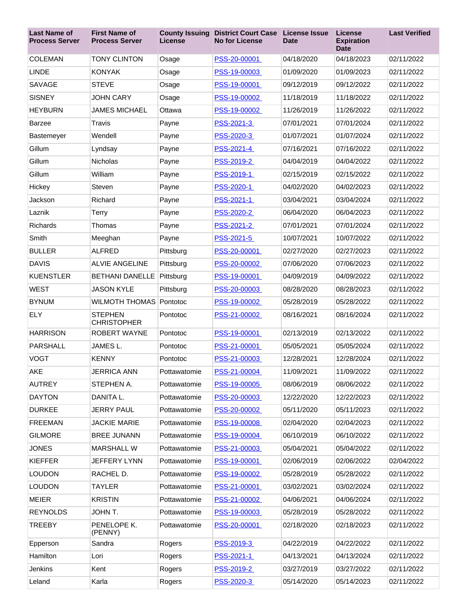| <b>Last Name of</b><br><b>Process Server</b> | <b>First Name of</b><br><b>Process Server</b> | <b>County Issuing</b><br>License | <b>District Court Case</b><br><b>No for License</b> | <b>License Issue</b><br><b>Date</b> | License<br><b>Expiration</b><br><b>Date</b> | <b>Last Verified</b> |
|----------------------------------------------|-----------------------------------------------|----------------------------------|-----------------------------------------------------|-------------------------------------|---------------------------------------------|----------------------|
| <b>COLEMAN</b>                               | <b>TONY CLINTON</b>                           | Osage                            | PSS-20-00001                                        | 04/18/2020                          | 04/18/2023                                  | 02/11/2022           |
| <b>LINDE</b>                                 | <b>KONYAK</b>                                 | Osage                            | PSS-19-00003                                        | 01/09/2020                          | 01/09/2023                                  | 02/11/2022           |
| <b>SAVAGE</b>                                | <b>STEVE</b>                                  | Osage                            | PSS-19-00001                                        | 09/12/2019                          | 09/12/2022                                  | 02/11/2022           |
| <b>SISNEY</b>                                | <b>JOHN CARY</b>                              | Osage                            | PSS-19-00002                                        | 11/18/2019                          | 11/18/2022                                  | 02/11/2022           |
| <b>HEYBURN</b>                               | <b>JAMES MICHAEL</b>                          | Ottawa                           | PSS-19-00002                                        | 11/26/2019                          | 11/26/2022                                  | 02/11/2022           |
| <b>Barzee</b>                                | Travis                                        | Payne                            | PSS-2021-3                                          | 07/01/2021                          | 07/01/2024                                  | 02/11/2022           |
| Bastemeyer                                   | Wendell                                       | Payne                            | PSS-2020-3                                          | 01/07/2021                          | 01/07/2024                                  | 02/11/2022           |
| Gillum                                       | Lyndsay                                       | Payne                            | PSS-2021-4                                          | 07/16/2021                          | 07/16/2022                                  | 02/11/2022           |
| Gillum                                       | Nicholas                                      | Payne                            | PSS-2019-2                                          | 04/04/2019                          | 04/04/2022                                  | 02/11/2022           |
| Gillum                                       | William                                       | Payne                            | PSS-2019-1                                          | 02/15/2019                          | 02/15/2022                                  | 02/11/2022           |
| Hickey                                       | Steven                                        | Payne                            | PSS-2020-1                                          | 04/02/2020                          | 04/02/2023                                  | 02/11/2022           |
| Jackson                                      | Richard                                       | Payne                            | PSS-2021-1                                          | 03/04/2021                          | 03/04/2024                                  | 02/11/2022           |
| Laznik                                       | <b>Terry</b>                                  | Payne                            | PSS-2020-2                                          | 06/04/2020                          | 06/04/2023                                  | 02/11/2022           |
| <b>Richards</b>                              | Thomas                                        | Payne                            | PSS-2021-2                                          | 07/01/2021                          | 07/01/2024                                  | 02/11/2022           |
| Smith                                        | Meeghan                                       | Payne                            | PSS-2021-5                                          | 10/07/2021                          | 10/07/2022                                  | 02/11/2022           |
| <b>BULLER</b>                                | <b>ALFRED</b>                                 | Pittsburg                        | PSS-20-00001                                        | 02/27/2020                          | 02/27/2023                                  | 02/11/2022           |
| <b>DAVIS</b>                                 | <b>ALVIE ANGELINE</b>                         | Pittsburg                        | PSS-20-00002                                        | 07/06/2020                          | 07/06/2023                                  | 02/11/2022           |
| <b>KUENSTLER</b>                             | <b>BETHANI DANELLE</b>                        | Pittsburg                        | PSS-19-00001                                        | 04/09/2019                          | 04/09/2022                                  | 02/11/2022           |
| <b>WEST</b>                                  | <b>JASON KYLE</b>                             | Pittsburg                        | PSS-20-00003                                        | 08/28/2020                          | 08/28/2023                                  | 02/11/2022           |
| <b>BYNUM</b>                                 | <b>WILMOTH THOMAS</b>                         | Pontotoc                         | PSS-19-00002                                        | 05/28/2019                          | 05/28/2022                                  | 02/11/2022           |
| <b>ELY</b>                                   | <b>STEPHEN</b><br><b>CHRISTOPHER</b>          | Pontotoc                         | PSS-21-00002                                        | 08/16/2021                          | 08/16/2024                                  | 02/11/2022           |
| <b>HARRISON</b>                              | <b>ROBERT WAYNE</b>                           | Pontotoc                         | PSS-19-00001                                        | 02/13/2019                          | 02/13/2022                                  | 02/11/2022           |
| PARSHALL                                     | JAMES L.                                      | Pontotoc                         | PSS-21-00001                                        | 05/05/2021                          | 05/05/2024                                  | 02/11/2022           |
| <b>VOGT</b>                                  | <b>KENNY</b>                                  | Pontotoc                         | PSS-21-00003                                        | 12/28/2021                          | 12/28/2024                                  | 02/11/2022           |
| AKE                                          | <b>JERRICA ANN</b>                            | Pottawatomie                     | PSS-21-00004                                        | 11/09/2021                          | 11/09/2022                                  | 02/11/2022           |
| <b>AUTREY</b>                                | STEPHEN A.                                    | Pottawatomie                     | PSS-19-00005                                        | 08/06/2019                          | 08/06/2022                                  | 02/11/2022           |
| <b>DAYTON</b>                                | DANITA L.                                     | Pottawatomie                     | PSS-20-00003                                        | 12/22/2020                          | 12/22/2023                                  | 02/11/2022           |
| <b>DURKEE</b>                                | <b>JERRY PAUL</b>                             | Pottawatomie                     | PSS-20-00002                                        | 05/11/2020                          | 05/11/2023                                  | 02/11/2022           |
| <b>FREEMAN</b>                               | <b>JACKIE MARIE</b>                           | Pottawatomie                     | PSS-19-00008                                        | 02/04/2020                          | 02/04/2023                                  | 02/11/2022           |
| <b>GILMORE</b>                               | <b>BREE JUNANN</b>                            | Pottawatomie                     | PSS-19-00004                                        | 06/10/2019                          | 06/10/2022                                  | 02/11/2022           |
| <b>JONES</b>                                 | <b>MARSHALL W</b>                             | Pottawatomie                     | PSS-21-00003                                        | 05/04/2021                          | 05/04/2022                                  | 02/11/2022           |
| <b>KIEFFER</b>                               | <b>JEFFERY LYNN</b>                           | Pottawatomie                     | PSS-19-00001                                        | 02/06/2019                          | 02/06/2022                                  | 02/04/2022           |
| <b>LOUDON</b>                                | RACHEL D.                                     | Pottawatomie                     | PSS-19-00002                                        | 05/28/2019                          | 05/28/2022                                  | 02/11/2022           |
| <b>LOUDON</b>                                | <b>TAYLER</b>                                 | Pottawatomie                     | PSS-21-00001                                        | 03/02/2021                          | 03/02/2024                                  | 02/11/2022           |
| <b>MEIER</b>                                 | <b>KRISTIN</b>                                | Pottawatomie                     | PSS-21-00002                                        | 04/06/2021                          | 04/06/2024                                  | 02/11/2022           |
| <b>REYNOLDS</b>                              | JOHN T.                                       | Pottawatomie                     | PSS-19-00003                                        | 05/28/2019                          | 05/28/2022                                  | 02/11/2022           |
| <b>TREEBY</b>                                | PENELOPE K.<br>(PENNY)                        | Pottawatomie                     | PSS-20-00001                                        | 02/18/2020                          | 02/18/2023                                  | 02/11/2022           |
| Epperson                                     | Sandra                                        | Rogers                           | PSS-2019-3                                          | 04/22/2019                          | 04/22/2022                                  | 02/11/2022           |
| Hamilton                                     | Lori                                          | Rogers                           | PSS-2021-1                                          | 04/13/2021                          | 04/13/2024                                  | 02/11/2022           |
| Jenkins                                      | Kent                                          | Rogers                           | PSS-2019-2                                          | 03/27/2019                          | 03/27/2022                                  | 02/11/2022           |
| Leland                                       | Karla                                         | Rogers                           | PSS-2020-3                                          | 05/14/2020                          | 05/14/2023                                  | 02/11/2022           |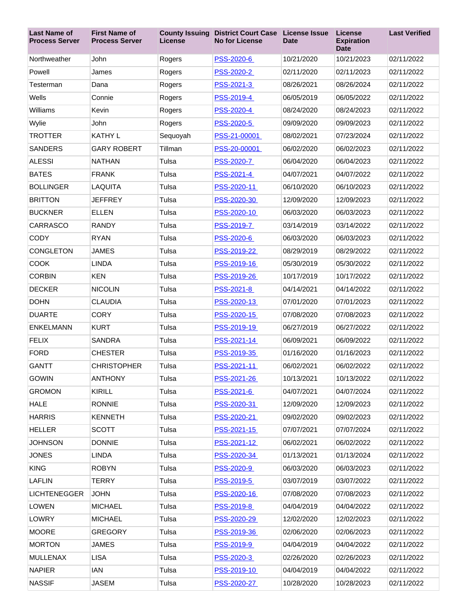| <b>Last Name of</b><br><b>Process Server</b> | <b>First Name of</b><br><b>Process Server</b> | License  | <b>County Issuing District Court Case</b><br><b>No for License</b> | <b>License Issue</b><br><b>Date</b> | License<br><b>Expiration</b><br><b>Date</b> | <b>Last Verified</b> |
|----------------------------------------------|-----------------------------------------------|----------|--------------------------------------------------------------------|-------------------------------------|---------------------------------------------|----------------------|
| Northweather                                 | <b>John</b>                                   | Rogers   | PSS-2020-6                                                         | 10/21/2020                          | 10/21/2023                                  | 02/11/2022           |
| Powell                                       | James                                         | Rogers   | PSS-2020-2                                                         | 02/11/2020                          | 02/11/2023                                  | 02/11/2022           |
| Testerman                                    | Dana                                          | Rogers   | PSS-2021-3                                                         | 08/26/2021                          | 08/26/2024                                  | 02/11/2022           |
| Wells                                        | Connie                                        | Rogers   | PSS-2019-4                                                         | 06/05/2019                          | 06/05/2022                                  | 02/11/2022           |
| Williams                                     | Kevin                                         | Rogers   | PSS-2020-4                                                         | 08/24/2020                          | 08/24/2023                                  | 02/11/2022           |
| Wylie                                        | John                                          | Rogers   | PSS-2020-5                                                         | 09/09/2020                          | 09/09/2023                                  | 02/11/2022           |
| <b>TROTTER</b>                               | <b>KATHY L</b>                                | Sequoyah | PSS-21-00001                                                       | 08/02/2021                          | 07/23/2024                                  | 02/11/2022           |
| <b>SANDERS</b>                               | <b>GARY ROBERT</b>                            | Tillman  | PSS-20-00001                                                       | 06/02/2020                          | 06/02/2023                                  | 02/11/2022           |
| <b>ALESSI</b>                                | <b>NATHAN</b>                                 | Tulsa    | PSS-2020-7                                                         | 06/04/2020                          | 06/04/2023                                  | 02/11/2022           |
| <b>BATES</b>                                 | <b>FRANK</b>                                  | Tulsa    | PSS-2021-4                                                         | 04/07/2021                          | 04/07/2022                                  | 02/11/2022           |
| <b>BOLLINGER</b>                             | LAQUITA                                       | Tulsa    | PSS-2020-11                                                        | 06/10/2020                          | 06/10/2023                                  | 02/11/2022           |
| <b>BRITTON</b>                               | <b>JEFFREY</b>                                | Tulsa    | PSS-2020-30                                                        | 12/09/2020                          | 12/09/2023                                  | 02/11/2022           |
| <b>BUCKNER</b>                               | <b>ELLEN</b>                                  | Tulsa    | PSS-2020-10                                                        | 06/03/2020                          | 06/03/2023                                  | 02/11/2022           |
| CARRASCO                                     | <b>RANDY</b>                                  | Tulsa    | <b>PSS-2019-7</b>                                                  | 03/14/2019                          | 03/14/2022                                  | 02/11/2022           |
| <b>CODY</b>                                  | <b>RYAN</b>                                   | Tulsa    | PSS-2020-6                                                         | 06/03/2020                          | 06/03/2023                                  | 02/11/2022           |
| <b>CONGLETON</b>                             | <b>JAMES</b>                                  | Tulsa    | PSS-2019-22                                                        | 08/29/2019                          | 08/29/2022                                  | 02/11/2022           |
| <b>COOK</b>                                  | <b>LINDA</b>                                  | Tulsa    | PSS-2019-16                                                        | 05/30/2019                          | 05/30/2022                                  | 02/11/2022           |
| <b>CORBIN</b>                                | <b>KEN</b>                                    | Tulsa    | PSS-2019-26                                                        | 10/17/2019                          | 10/17/2022                                  | 02/11/2022           |
| <b>DECKER</b>                                | <b>NICOLIN</b>                                | Tulsa    | PSS-2021-8                                                         | 04/14/2021                          | 04/14/2022                                  | 02/11/2022           |
| <b>DOHN</b>                                  | <b>CLAUDIA</b>                                | Tulsa    | PSS-2020-13                                                        | 07/01/2020                          | 07/01/2023                                  | 02/11/2022           |
| <b>DUARTE</b>                                | <b>CORY</b>                                   | Tulsa    | PSS-2020-15                                                        | 07/08/2020                          | 07/08/2023                                  | 02/11/2022           |
| <b>ENKELMANN</b>                             | <b>KURT</b>                                   | Tulsa    | PSS-2019-19                                                        | 06/27/2019                          | 06/27/2022                                  | 02/11/2022           |
| <b>FELIX</b>                                 | <b>SANDRA</b>                                 | Tulsa    | PSS-2021-14                                                        | 06/09/2021                          | 06/09/2022                                  | 02/11/2022           |
| <b>FORD</b>                                  | <b>CHESTER</b>                                | Tulsa    | PSS-2019-35                                                        | 01/16/2020                          | 01/16/2023                                  | 02/11/2022           |
| <b>GANTT</b>                                 | <b>CHRISTOPHER</b>                            | Tulsa    | PSS-2021-11                                                        | 06/02/2021                          | 06/02/2022                                  | 02/11/2022           |
| <b>GOWIN</b>                                 | <b>ANTHONY</b>                                | Tulsa    | PSS-2021-26                                                        | 10/13/2021                          | 10/13/2022                                  | 02/11/2022           |
| <b>GROMON</b>                                | <b>KIRILL</b>                                 | Tulsa    | PSS-2021-6                                                         | 04/07/2021                          | 04/07/2024                                  | 02/11/2022           |
| <b>HALE</b>                                  | <b>RONNIE</b>                                 | Tulsa    | PSS-2020-31                                                        | 12/09/2020                          | 12/09/2023                                  | 02/11/2022           |
| <b>HARRIS</b>                                | <b>KENNETH</b>                                | Tulsa    | PSS-2020-21                                                        | 09/02/2020                          | 09/02/2023                                  | 02/11/2022           |
| <b>HELLER</b>                                | <b>SCOTT</b>                                  | Tulsa    | PSS-2021-15                                                        | 07/07/2021                          | 07/07/2024                                  | 02/11/2022           |
| <b>JOHNSON</b>                               | <b>DONNIE</b>                                 | Tulsa    | <u>PSS-2021-12</u>                                                 | 06/02/2021                          | 06/02/2022                                  | 02/11/2022           |
| <b>JONES</b>                                 | LINDA                                         | Tulsa    | PSS-2020-34                                                        | 01/13/2021                          | 01/13/2024                                  | 02/11/2022           |
| <b>KING</b>                                  | <b>ROBYN</b>                                  | Tulsa    | PSS-2020-9                                                         | 06/03/2020                          | 06/03/2023                                  | 02/11/2022           |
| <b>LAFLIN</b>                                | <b>TERRY</b>                                  | Tulsa    | PSS-2019-5                                                         | 03/07/2019                          | 03/07/2022                                  | 02/11/2022           |
| <b>LICHTENEGGER</b>                          | <b>JOHN</b>                                   | Tulsa    | PSS-2020-16                                                        | 07/08/2020                          | 07/08/2023                                  | 02/11/2022           |
| <b>LOWEN</b>                                 | <b>MICHAEL</b>                                | Tulsa    | PSS-2019-8                                                         | 04/04/2019                          | 04/04/2022                                  | 02/11/2022           |
| <b>LOWRY</b>                                 | <b>MICHAEL</b>                                | Tulsa    | PSS-2020-29                                                        | 12/02/2020                          | 12/02/2023                                  | 02/11/2022           |
| <b>MOORE</b>                                 | <b>GREGORY</b>                                | Tulsa    | PSS-2019-36                                                        | 02/06/2020                          | 02/06/2023                                  | 02/11/2022           |
| <b>MORTON</b>                                | JAMES                                         | Tulsa    | PSS-2019-9                                                         | 04/04/2019                          | 04/04/2022                                  | 02/11/2022           |
| MULLENAX                                     | <b>LISA</b>                                   | Tulsa    | PSS-2020-3                                                         | 02/26/2020                          | 02/26/2023                                  | 02/11/2022           |
| <b>NAPIER</b>                                | IAN                                           | Tulsa    | PSS-2019-10                                                        | 04/04/2019                          | 04/04/2022                                  | 02/11/2022           |
| <b>NASSIF</b>                                | <b>JASEM</b>                                  | Tulsa    | PSS-2020-27                                                        | 10/28/2020                          | 10/28/2023                                  | 02/11/2022           |